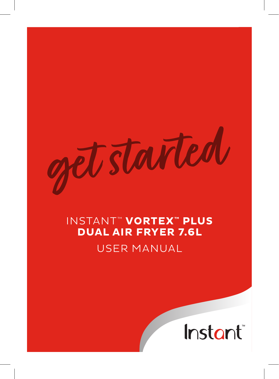started

# INSTANT™ **VORTEX™ PLUS DUAL AIR FRYER 7.6L**  USER MANUAL

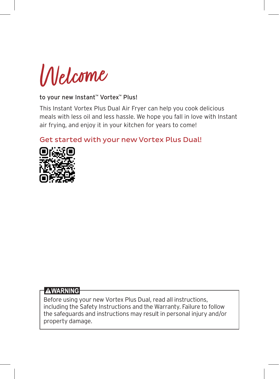Welcome

#### to your new Instant™ Vortex™ Plus!

This Instant Vortex Plus Dual Air Fryer can help you cook delicious meals with less oil and less hassle. We hope you fall in love with Instant air frying, and enjoy it in your kitchen for years to come!

Get started with your new Vortex Plus Dual!



#### **AWARNING**

Before using your new Vortex Plus Dual, read all instructions, including the Safety Instructions and the Warranty. Failure to follow the safeguards and instructions may result in personal injury and/or property damage.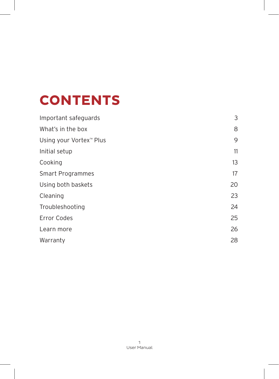# **CONTENTS**

| Important safeguards                |    |  |
|-------------------------------------|----|--|
| What's in the box                   | 8  |  |
| Using your Vortex <sup>™</sup> Plus | 9  |  |
| Initial setup                       | 11 |  |
| Cooking                             | 13 |  |
| Smart Programmes                    | 17 |  |
| Using both baskets                  | 20 |  |
| Cleaning                            | 23 |  |
| Troubleshooting                     | 24 |  |
| <b>Error Codes</b>                  | 25 |  |
| Learn more                          | 26 |  |
| Warranty                            | 28 |  |
|                                     |    |  |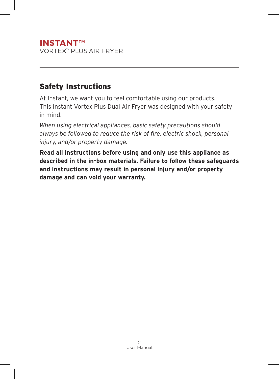### **INSTANT™** VORTEX™ PLUS AIR FRYER

# Safety Instructions

At Instant, we want you to feel comfortable using our products. This Instant Vortex Plus Dual Air Fryer was designed with your safety in mind.

*When using electrical appliances, basic safety precautions should always be followed to reduce the risk of fire, electric shock, personal injury, and/or property damage.*

**Read all instructions before using and only use this appliance as described in the in-box materials. Failure to follow these safeguards and instructions may result in personal injury and/or property damage and can void your warranty.**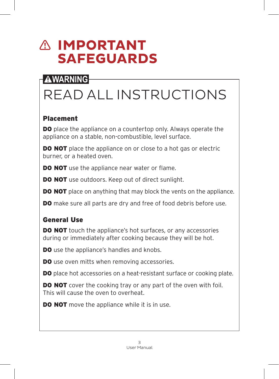# **IMPORTANT SAFEGUARDS**

# **AWARNING**

# READ ALL INSTRUCTIONS

# Placement

**DO** place the appliance on a countertop only. Always operate the appliance on a stable, non-combustible, level surface.

**DO NOT** place the appliance on or close to a hot gas or electric burner, or a heated oven.

**DO NOT** use the appliance near water or flame.

**DO NOT** use outdoors. Keep out of direct sunlight.

**DO NOT** place on anything that may block the vents on the appliance.

**DO** make sure all parts are dry and free of food debris before use.

# General Use

**DO NOT** touch the appliance's hot surfaces, or any accessories during or immediately after cooking because they will be hot.

**DO** use the appliance's handles and knobs.

**DO** use oven mitts when removing accessories.

DO place hot accessories on a heat-resistant surface or cooking plate.

**DO NOT** cover the cooking tray or any part of the oven with foil. This will cause the oven to overheat.

**DO NOT** move the appliance while it is in use.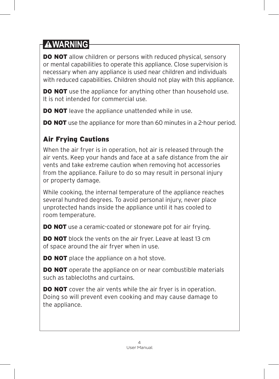**DO NOT** allow children or persons with reduced physical, sensory or mental capabilities to operate this appliance. Close supervision is necessary when any appliance is used near children and individuals with reduced capabilities. Children should not play with this appliance.

**DO NOT** use the appliance for anything other than household use. It is not intended for commercial use.

**DO NOT** leave the appliance unattended while in use.

**DO NOT** use the appliance for more than 60 minutes in a 2-hour period.

# Air Frying Cautions

When the air fryer is in operation, hot air is released through the air vents. Keep your hands and face at a safe distance from the air vents and take extreme caution when removing hot accessories from the appliance. Failure to do so may result in personal injury or property damage.

While cooking, the internal temperature of the appliance reaches several hundred degrees. To avoid personal injury, never place unprotected hands inside the appliance until it has cooled to room temperature.

**DO NOT** use a ceramic-coated or stoneware pot for air frying.

**DO NOT** block the vents on the air fryer. Leave at least 13 cm of space around the air fryer when in use.

**DO NOT** place the appliance on a hot stove.

**DO NOT** operate the appliance on or near combustible materials such as tablecloths and curtains.

**DO NOT** cover the air vents while the air fryer is in operation. Doing so will prevent even cooking and may cause damage to the appliance.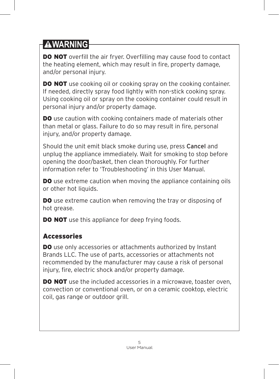**DO NOT** overfill the air fryer. Overfilling may cause food to contact the heating element, which may result in fire, property damage, and/or personal injury.

**DO NOT** use cooking oil or cooking spray on the cooking container. If needed, directly spray food lightly with non-stick cooking spray. Using cooking oil or spray on the cooking container could result in personal injury and/or property damage.

**DO** use caution with cooking containers made of materials other than metal or glass. Failure to do so may result in fire, personal injury, and/or property damage.

Should the unit emit black smoke during use, press Cancel and unplug the appliance immediately. Wait for smoking to stop before opening the door/basket, then clean thoroughly. For further information refer to 'Troubleshooting' in this User Manual.

**DO** use extreme caution when moving the appliance containing oils or other hot liquids.

DO use extreme caution when removing the tray or disposing of hot grease.

**DO NOT** use this appliance for deep frying foods.

# Accessories

**DO** use only accessories or attachments authorized by Instant Brands LLC. The use of parts, accessories or attachments not recommended by the manufacturer may cause a risk of personal injury, fire, electric shock and/or property damage.

DO NOT use the included accessories in a microwave, toaster oven, convection or conventional oven, or on a ceramic cooktop, electric coil, gas range or outdoor grill.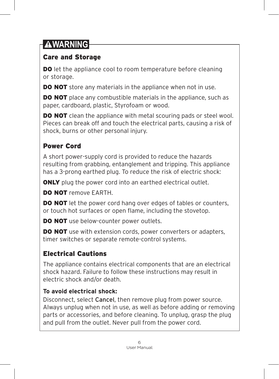# Care and Storage

**DO** let the appliance cool to room temperature before cleaning or storage.

**DO NOT** store any materials in the appliance when not in use.

**DO NOT** place any combustible materials in the appliance, such as paper, cardboard, plastic, Styrofoam or wood.

**DO NOT** clean the appliance with metal scouring pads or steel wool. Pieces can break off and touch the electrical parts, causing a risk of shock, burns or other personal injury.

# Power Cord

A short power-supply cord is provided to reduce the hazards resulting from grabbing, entanglement and tripping. This appliance has a 3-prong earthed plug. To reduce the risk of electric shock:

**ONLY** plug the power cord into an earthed electrical outlet.

DO NOT remove FARTH

**DO NOT** let the power cord hang over edges of tables or counters, or touch hot surfaces or open flame, including the stovetop.

DO NOT use below-counter power outlets.

**DO NOT** use with extension cords, power converters or adapters, timer switches or separate remote-control systems.

# Electrical Cautions

The appliance contains electrical components that are an electrical shock hazard. Failure to follow these instructions may result in electric shock and/or death.

# **To avoid electrical shock:**

Disconnect, select Cancel, then remove plug from power source. Always unplug when not in use, as well as before adding or removing parts or accessories, and before cleaning. To unplug, grasp the plug and pull from the outlet. Never pull from the power cord.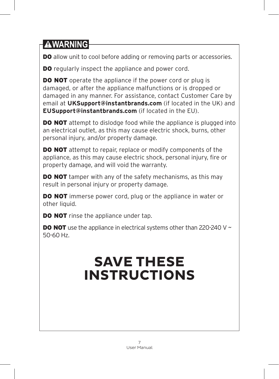DO allow unit to cool before adding or removing parts or accessories.

**DO** regularly inspect the appliance and power cord.

**DO NOT** operate the appliance if the power cord or plug is damaged, or after the appliance malfunctions or is dropped or damaged in any manner. For assistance, contact Customer Care by email at **UKSupport@instantbrands.com** (if located in the UK) and **EUSupport@instantbrands.com** (if located in the EU).

**DO NOT** attempt to dislodge food while the appliance is plugged into an electrical outlet, as this may cause electric shock, burns, other personal injury, and/or property damage.

**DO NOT** attempt to repair, replace or modify components of the appliance, as this may cause electric shock, personal injury, fire or property damage, and will void the warranty.

**DO NOT** tamper with any of the safety mechanisms, as this may result in personal injury or property damage.

**DO NOT** immerse power cord, plug or the appliance in water or other liquid.

**DO NOT** rinse the appliance under tap.

**DO NOT** use the appliance in electrical systems other than 220-240 V  $\sim$ 50-60 Hz.

# **SAVE THESE INSTRUCTIONS**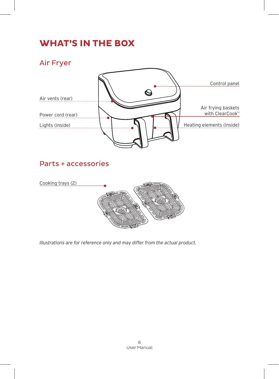# **WHAT'S IN THE BOX**

Air Fryer



# Parts + accessories



*Illustrations are for reference only and may differ from the actual product.*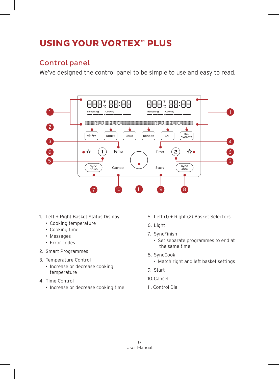# **USING YOUR VORTEX™ PLUS**

### Control panel

We've designed the control panel to be simple to use and easy to read.



- 1. Left + Right Basket Status Display
	- Cooking temperature
	- Cooking time
	- Messages
	- Error codes
- 2. Smart Programmes
- 3. Temperature Control
	- Increase or decrease cooking temperature
- 4. Time Control
	- Increase or decrease cooking time
- 5. Left (1) + Right (2) Basket Selectors
- 6. Light
- 7. SyncFinish
	- Set separate programmes to end at the same time
- 8. SyncCook
	- Match right and left basket settings
- 9. Start
- 10.Cancel
- 11. Control Dial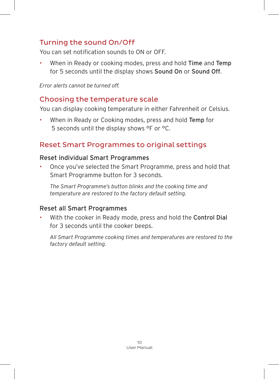# Turning the sound On/Off

You can set notification sounds to ON or OFF.

When in Ready or cooking modes, press and hold Time and Temp for 5 seconds until the display shows Sound On or Sound Off.

*Error alerts cannot be turned off.*

### Choosing the temperature scale

You can display cooking temperature in either Fahrenheit or Celsius.

When in Ready or Cooking modes, press and hold Temp for 5 seconds until the display shows °F or °C.

# Reset Smart Programmes to original settings

#### Reset individual Smart Programmes

• Once you've selected the Smart Programme, press and hold that Smart Programme button for 3 seconds.

*The Smart Programme's button blinks and the cooking time and temperature are restored to the factory default setting.*

#### Reset all Smart Programmes

With the cooker in Ready mode, press and hold the Control Dial for 3 seconds until the cooker beeps.

*All Smart Programme cooking times and temperatures are restored to the factory default setting.*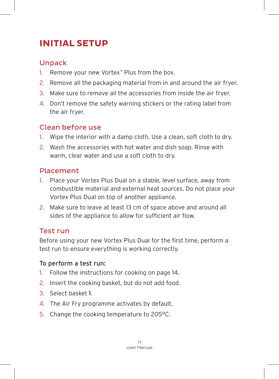# **INITIAL SETUP**

# Unpack

- 1. Remove your new Vortex™ Plus from the box.
- 2. Remove all the packaging material from in and around the air fryer.
- 3. Make sure to remove all the accessories from inside the air fryer.
- 4. Don't remove the safety warning stickers or the rating label from the air fryer.

# Clean before use

- 1. Wipe the interior with a damp cloth. Use a clean, soft cloth to dry.
- 2. Wash the accessories with hot water and dish soap. Rinse with warm, clear water and use a soft cloth to dry.

# Placement

- 1. Place your Vortex Plus Dual on a stable, level surface, away from combustible material and external heat sources. Do not place your Vortex Plus Dual on top of another appliance.
- 2. Make sure to leave at least 13 cm of space above and around all sides of the appliance to allow for sufficient air flow.

# Test run

Before using your new Vortex Plus Dual for the first time, perform a test run to ensure everything is working correctly.

### To perform a test run:

- 1. Follow the instructions for cooking on page 14.
- 2. Insert the cooking basket, but do not add food.
- 3. Select basket 1.
- 4. The Air Fry programme activates by default.
- 5. Change the cooking temperature to 205°C.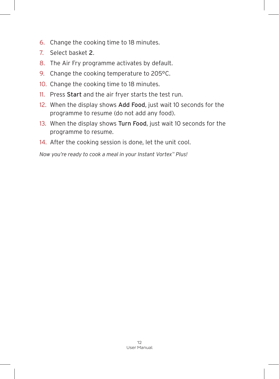- 6. Change the cooking time to 18 minutes.
- 7. Select basket 2.
- 8. The Air Fry programme activates by default.
- 9. Change the cooking temperature to 205°C.
- 10. Change the cooking time to 18 minutes.
- 11. Press Start and the air fryer starts the test run.
- 12. When the display shows Add Food, just wait 10 seconds for the programme to resume (do not add any food).
- 13. When the display shows Turn Food, just wait 10 seconds for the programme to resume.
- 14. After the cooking session is done, let the unit cool.

*Now you're ready to cook a meal in your Instant Vortex™ Plus!*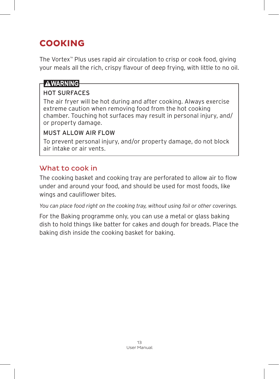# **COOKING**

The Vortex™ Plus uses rapid air circulation to crisp or cook food, giving your meals all the rich, crispy flavour of deep frying, with little to no oil.

### **AWARNING**

### HOT SURFACES

The air fryer will be hot during and after cooking. Always exercise extreme caution when removing food from the hot cooking chamber. Touching hot surfaces may result in personal injury, and/ or property damage.

#### MUST ALLOW AIR FLOW

To prevent personal injury, and/or property damage, do not block air intake or air vents.

# What to cook in

The cooking basket and cooking tray are perforated to allow air to flow under and around your food, and should be used for most foods, like wings and cauliflower bites.

*You can place food right on the cooking tray, without using foil or other coverings.*

For the Baking programme only, you can use a metal or glass baking dish to hold things like batter for cakes and dough for breads. Place the baking dish inside the cooking basket for baking.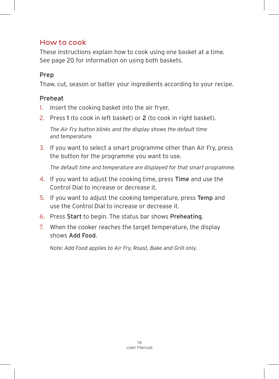# How to cook

These instructions explain how to cook using one basket at a time. See page 20 for information on using both baskets.

### Prep

Thaw, cut, season or batter your ingredients according to your recipe.

### Preheat

- 1. Insert the cooking basket into the air fryer.
- 2. Press 1 (to cook in left basket) or 2 (to cook in right basket).

*The Air Fry button blinks and the display shows the default time and temperature.*

3. If you want to select a smart programme other than Air Fry, press the button for the programme you want to use.

*The default time and temperature are displayed for that smart programme.*

- 4. If you want to adjust the cooking time, press Time and use the Control Dial to increase or decrease it.
- 5. If you want to adjust the cooking temperature, press Temp and use the Control Dial to increase or decrease it.
- 6. Press Start to begin. The status bar shows Preheating.
- 7. When the cooker reaches the target temperature, the display shows Add Food.

*Note: Add Food applies to Air Fry, Roast, Bake and Grill only.*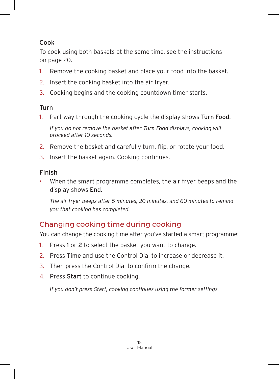### Cook

To cook using both baskets at the same time, see the instructions on page 20.

- 1. Remove the cooking basket and place your food into the basket.
- 2. Insert the cooking basket into the air fryer.
- 3. Cooking begins and the cooking countdown timer starts.

### Turn

1. Part way through the cooking cycle the display shows Turn Food.

*If you do not remove the basket after Turn Food displays, cooking will proceed after 10 seconds.*

- 2. Remove the basket and carefully turn, flip, or rotate your food.
- 3. Insert the basket again. Cooking continues.

# Finish

• When the smart programme completes, the air fryer beeps and the display shows End.

*The air fryer beeps after 5 minutes, 20 minutes, and 60 minutes to remind you that cooking has completed.*

# Changing cooking time during cooking

You can change the cooking time after you've started a smart programme:

- 1. Press 1 or 2 to select the basket you want to change.
- 2. Press Time and use the Control Dial to increase or decrease it.
- 3. Then press the Control Dial to confirm the change.
- 4. Press Start to continue cooking.

*If you don't press Start, cooking continues using the former settings.*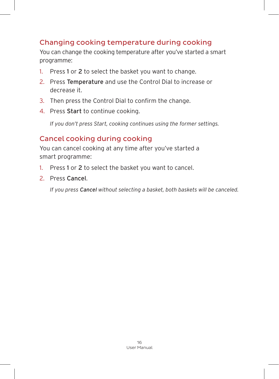# Changing cooking temperature during cooking

You can change the cooking temperature after you've started a smart programme:

- 1. Press 1 or 2 to select the basket you want to change.
- 2. Press Temperature and use the Control Dial to increase or decrease it.
- 3. Then press the Control Dial to confirm the change.
- 4. Press Start to continue cooking.

*If you don't press Start, cooking continues using the former settings.*

### Cancel cooking during cooking

You can cancel cooking at any time after you've started a smart programme:

- 1. Press 1 or 2 to select the basket you want to cancel.
- 2. Press Cancel.

*If you press Cancel without selecting a basket, both baskets will be canceled.*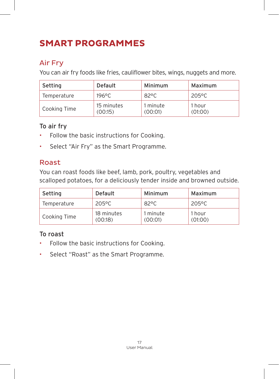# **SMART PROGRAMMES**

# Air Fry

You can air fry foods like fries, cauliflower bites, wings, nuggets and more.

| Setting      | Default               |                     | Maximum           |  |
|--------------|-----------------------|---------------------|-------------------|--|
| Temperature  | 196°C                 | 82°C                | 205°C             |  |
| Cooking Time | 15 minutes<br>(00:15) | 1 minute<br>(00:01) | 1 hour<br>(01:00) |  |

### To air fry

- Follow the basic instructions for Cooking.
- Select "Air Fry" as the Smart Programme.

# Roast

You can roast foods like beef, lamb, pork, poultry, vegetables and scalloped potatoes, for a deliciously tender inside and browned outside.

| Setting      | Default               | Minimum             | Maximum           |  |
|--------------|-----------------------|---------------------|-------------------|--|
| Temperature  | 205°C                 | $82^{\circ}$ C      | 205°C             |  |
| Cooking Time | 18 minutes<br>(00:18) | 1 minute<br>(00:01) | 1 hour<br>(01:00) |  |

### To roast

- Follow the basic instructions for Cooking.
- Select "Roast" as the Smart Programme.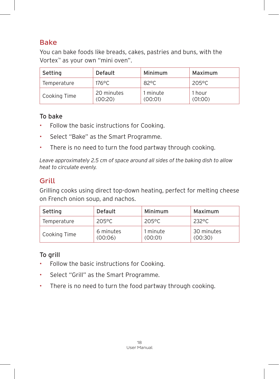### Bake

You can bake foods like breads, cakes, pastries and buns, with the Vortex™ as your own "mini oven".

| Setting      | Default               | Minimum             | Maximum           |  |
|--------------|-----------------------|---------------------|-------------------|--|
| Temperature  | 176°C                 | 82°C                | 205°C             |  |
| Cooking Time | 20 minutes<br>(00:20) | 1 minute<br>(00:01) | 1 hour<br>(01:00) |  |

#### To bake

- Follow the basic instructions for Cooking.
- Select "Bake" as the Smart Programme.
- There is no need to turn the food partway through cooking.

*Leave approximately 2.5 cm of space around all sides of the baking dish to allow heat to circulate evenly.*

### **Grill**

Grilling cooks using direct top-down heating, perfect for melting cheese on French onion soup, and nachos.

| Setting      | Default              | Minimum             | Maximum               |
|--------------|----------------------|---------------------|-----------------------|
| Temperature  | 205°C                | 205°C               | 232°C                 |
| Cooking Time | 6 minutes<br>(00:06) | 1 minute<br>(00:01) | 30 minutes<br>(00:30) |

#### To grill

- Follow the basic instructions for Cooking.
- Select "Grill" as the Smart Programme.
- There is no need to turn the food partway through cooking.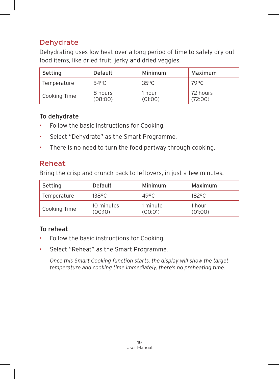# **Dehydrate**

Dehydrating uses low heat over a long period of time to safely dry out food items, like dried fruit, jerky and dried veggies.

| Setting      | Default            | Minimum           | Maximum             |  |
|--------------|--------------------|-------------------|---------------------|--|
| Temperature  | 54°C               | $35^{\circ}$ C    | 79°C                |  |
| Cooking Time | 8 hours<br>(08:00) | 1 hour<br>(01:00) | 72 hours<br>(72:00) |  |

### To dehydrate

- Follow the basic instructions for Cooking.
- Select "Dehydrate" as the Smart Programme.
- There is no need to turn the food partway through cooking.

# Reheat

Bring the crisp and crunch back to leftovers, in just a few minutes.

| Setting      | Default               | Minimum             | Maximum           |
|--------------|-----------------------|---------------------|-------------------|
| Temperature  | 138°C                 | 49°C                | 182°C.            |
| Cooking Time | 10 minutes<br>(00:10) | 1 minute<br>(00:01) | 1 hour<br>(01:00) |

# To reheat

- Follow the basic instructions for Cooking.
- Select "Reheat" as the Smart Programme.

*Once this Smart Cooking function starts, the display will show the target temperature and cooking time immediately, there's no preheating time.*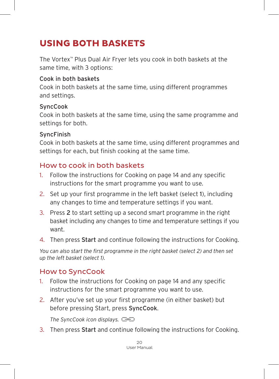# **USING BOTH BASKETS**

The Vortex™ Plus Dual Air Fryer lets you cook in both baskets at the same time, with 3 options:

#### Cook in both baskets

Cook in both baskets at the same time, using different programmes and settings.

#### **SyncCook**

Cook in both baskets at the same time, using the same programme and settings for both.

#### SyncFinish

Cook in both baskets at the same time, using different programmes and settings for each, but finish cooking at the same time.

### How to cook in both baskets

- 1. Follow the instructions for Cooking on page 14 and any specific instructions for the smart programme you want to use.
- 2. Set up your first programme in the left basket (select 1), including any changes to time and temperature settings if you want.
- 3. Press 2 to start setting up a second smart programme in the right basket including any changes to time and temperature settings if you want.
- 4. Then press Start and continue following the instructions for Cooking.

*You can also start the first programme in the right basket (select 2) and then set up the left basket (select 1).*

### How to SyncCook

- 1. Follow the instructions for Cooking on page 14 and any specific instructions for the smart programme you want to use.
- 2. After you've set up your first programme (in either basket) but before pressing Start, press SyncCook.

*The SyncCook icon displays.*

3. Then press Start and continue following the instructions for Cooking.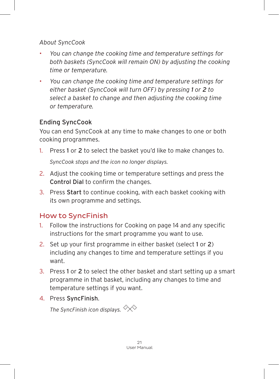#### *About SyncCook*

- *You can change the cooking time and temperature settings for both baskets (SyncCook will remain ON) by adjusting the cooking time or temperature.*
- *You can change the cooking time and temperature settings for either basket (SyncCook will turn OFF) by pressing 1 or 2 to select a basket to change and then adjusting the cooking time or temperature.*

### Ending SyncCook

You can end SyncCook at any time to make changes to one or both cooking programmes.

- 1. Press 1 or 2 to select the basket you'd like to make changes to. *SyncCook stops and the icon no longer displays.*
- 2. Adjust the cooking time or temperature settings and press the Control Dial to confirm the changes.
- 3. Press Start to continue cooking, with each basket cooking with its own programme and settings.

# How to SyncFinish

- 1. Follow the instructions for Cooking on page 14 and any specific instructions for the smart programme you want to use.
- 2. Set up your first programme in either basket (select 1 or 2) including any changes to time and temperature settings if you want.
- 3. Press 1 or 2 to select the other basket and start setting up a smart programme in that basket, including any changes to time and temperature settings if you want.
- 4. Press SyncFinish.

*The SyncFinish icon displays.*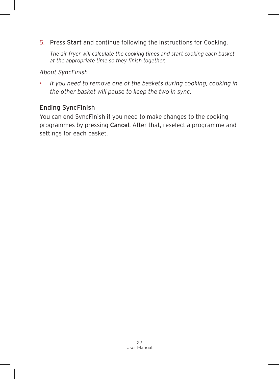5. Press Start and continue following the instructions for Cooking.

*The air fryer will calculate the cooking times and start cooking each basket at the appropriate time so they finish together.*

*About SyncFinish*

• *If you need to remove one of the baskets during cooking, cooking in the other basket will pause to keep the two in sync.*

### Ending SyncFinish

You can end SyncFinish if you need to make changes to the cooking programmes by pressing Cancel. After that, reselect a programme and settings for each basket.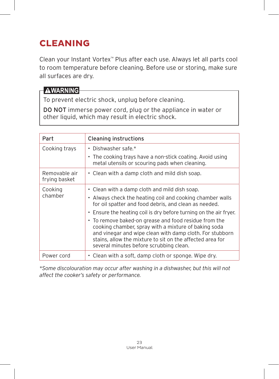# **CLEANING**

Clean your Instant Vortex™ Plus after each use. Always let all parts cool to room temperature before cleaning. Before use or storing, make sure all surfaces are dry.

### **AWARNING**

To prevent electric shock, unplug before cleaning.

DO NOT immerse power cord, plug or the appliance in water or other liquid, which may result in electric shock.

| Part                           | <b>Cleaning instructions</b>                                                                                                                                                                                                                                                      |
|--------------------------------|-----------------------------------------------------------------------------------------------------------------------------------------------------------------------------------------------------------------------------------------------------------------------------------|
| Cooking trays                  | • Dishwasher safe. $*$                                                                                                                                                                                                                                                            |
|                                | • The cooking trays have a non-stick coating. Avoid using<br>metal utensils or scouring pads when cleaning.                                                                                                                                                                       |
| Removable air<br>frying basket | • Clean with a damp cloth and mild dish soap.                                                                                                                                                                                                                                     |
| Cooking                        | • Clean with a damp cloth and mild dish soap.                                                                                                                                                                                                                                     |
| chamber                        | • Always check the heating coil and cooking chamber walls<br>for oil spatter and food debris, and clean as needed.                                                                                                                                                                |
|                                | • Ensure the heating coil is dry before turning on the air fryer.                                                                                                                                                                                                                 |
|                                | • To remove baked-on grease and food residue from the<br>cooking chamber, spray with a mixture of baking soda<br>and vinegar and wipe clean with damp cloth. For stubborn<br>stains, allow the mixture to sit on the affected area for<br>several minutes before scrubbing clean. |
| Power cord                     | • Clean with a soft, damp cloth or sponge. Wipe dry.                                                                                                                                                                                                                              |

*\*Some discolouration may occur after washing in a dishwasher, but this will not affect the cooker's safety or performance.*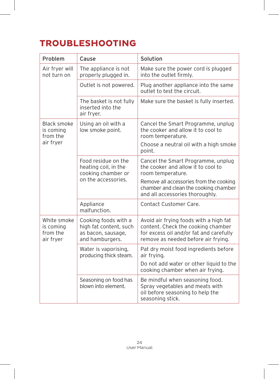# **TROUBLESHOOTING**

| Problem                                           | Cause                                                                                   | Solution                                                                                                                                                       |
|---------------------------------------------------|-----------------------------------------------------------------------------------------|----------------------------------------------------------------------------------------------------------------------------------------------------------------|
| Air fryer will<br>not turn on                     | The appliance is not<br>properly plugged in.                                            | Make sure the power cord is plugged<br>into the outlet firmly.                                                                                                 |
|                                                   | Outlet is not powered.                                                                  | Plug another appliance into the same<br>outlet to test the circuit.                                                                                            |
|                                                   | The basket is not fully<br>inserted into the<br>air fryer.                              | Make sure the basket is fully inserted.                                                                                                                        |
| <b>Black smoke</b><br>is coming<br>from the       | Using an oil with a<br>low smoke point.                                                 | Cancel the Smart Programme, unplug<br>the cooker and allow it to cool to<br>room temperature.                                                                  |
| air fryer                                         |                                                                                         | Choose a neutral oil with a high smoke<br>point.                                                                                                               |
|                                                   | Food residue on the<br>heating coil, in the<br>cooking chamber or                       | Cancel the Smart Programme, unplug<br>the cooker and allow it to cool to<br>room temperature.                                                                  |
|                                                   | on the accessories.                                                                     | Remove all accessories from the cooking<br>chamber and clean the cooking chamber<br>and all accessories thoroughly.                                            |
|                                                   | Appliance<br>malfunction.                                                               | Contact Customer Care.                                                                                                                                         |
| White smoke<br>is coming<br>from the<br>air fryer | Cooking foods with a<br>high fat content, such<br>as bacon, sausage,<br>and hamburgers. | Avoid air frying foods with a high fat<br>content. Check the cooking chamber<br>for excess oil and/or fat and carefully<br>remove as needed before air frying. |
|                                                   | Water is vaporising,<br>producing thick steam.                                          | Pat dry moist food ingredients before<br>air frying.                                                                                                           |
|                                                   |                                                                                         | Do not add water or other liquid to the<br>cooking chamber when air frying.                                                                                    |
|                                                   | Seasoning on food has<br>blown into element.                                            | Be mindful when seasoning food.<br>Spray vegetables and meats with<br>oil before seasoning to help the<br>seasoning stick.                                     |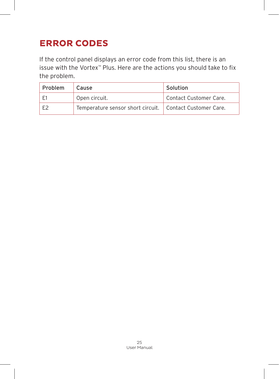# **ERROR CODES**

If the control panel displays an error code from this list, there is an issue with the Vortex™ Plus. Here are the actions you should take to fix the problem.

| Problem | Cause                                                      | Solution               |
|---------|------------------------------------------------------------|------------------------|
|         | Open circuit.                                              | Contact Customer Care. |
|         | Temperature sensor short circuit.   Contact Customer Care. |                        |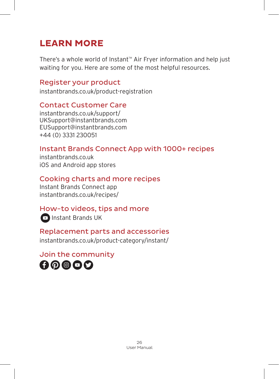# **LEARN MORE**

There's a whole world of Instant™ Air Fryer information and help just waiting for you. Here are some of the most helpful resources.

### Register your product

instantbrands.co.uk/product-registration

### Contact Customer Care

instantbrands.co.uk/support/ UKSupport@instantbrands.com EUSupport@instantbrands.com +44 (0) 3331 230051

# Instant Brands Connect App with 1000+ recipes

instantbrands.co.uk iOS and Android app stores

# Cooking charts and more recipes

Instant Brands Connect app instantbrands.co.uk/recipes/

# How-to videos, tips and more

**D** Instant Brands UK

# Replacement parts and accessories

instantbrands.co.uk/product-category/instant/

Join the community

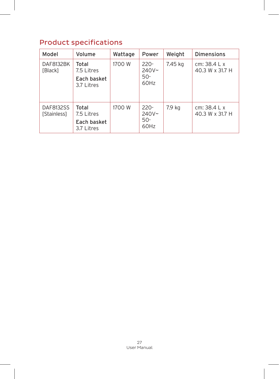# Product specifications

| Model                          | Volume                                           | Wattage | Power                                 | Weight  | <b>Dimensions</b>                |
|--------------------------------|--------------------------------------------------|---------|---------------------------------------|---------|----------------------------------|
| DAF8132BK<br>[Black]           | Total<br>7.5 Litres<br>Each basket<br>3.7 Litres | 1700 W  | $220 -$<br>$240V -$<br>$50 -$<br>60Hz | 7.45 kg | cm: $38.4 Lx$<br>40.3 W x 31.7 H |
| DAF8132SS<br><b>Stainless1</b> | Total<br>7.5 Litres<br>Each basket<br>3.7 Litres | 1700 W  | $220 -$<br>240V~<br>$50 -$<br>60Hz    | 7.9 kg  | cm: $38.4 Lx$<br>40.3 W x 31.7 H |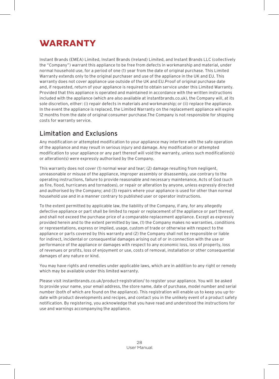# **WARRANTY**

Instant Brands (EMEA) Limited, Instant Brands (Ireland) Limited, and Instant Brands LLC (collectively the "Company") warrant this appliance to be free from defects in workmanship and material, under normal household use, for a period of one (1) year from the date of original purchase. This Limited Warranty extends only to the original purchaser and use of the appliance in the UK and EU. This warranty does not cover appliance use outside of the UK and EU.Proof of original purchase date and, if requested, return of your appliance is required to obtain service under this Limited Warranty. Provided that this appliance is operated and maintained in accordance with the written instructions included with the appliance (which are also available at instantbrands.co.uk), the Company will, at its sole discretion, either: (i) repair defects in materials and workmanship; or (ii) replace the appliance. In the event the appliance is replaced, the Limited Warranty on the replacement appliance will expire 12 months from the date of original consumer purchase.The Company is not responsible for shipping costs for warranty service.

#### Limitation and Exclusions

Any modification or attempted modification to your appliance may interfere with the safe operation of the appliance and may result in serious injury and damage. Any modification or attempted modification to your appliance or any part thereof will void the warranty, unless such modification(s) or alteration(s) were expressly authorised by the Company.

This warranty does not cover (1) normal wear and tear; (2) damage resulting from negligent, unreasonable or misuse of the appliance, improper assembly or disassembly, use contrary to the operating instructions, failure to provide reasonable and necessary maintenance, Acts of God (such as fire, flood, hurricanes and tornadoes), or repair or alteration by anyone, unless expressly directed and authorised by the Company; and (3) repairs where your appliance is used for other than normal household use and in a manner contrary to published user or operator instructions.

To the extent permitted by applicable law, the liability of the Company, if any, for any allegedly defective appliance or part shall be limited to repair or replacement of the appliance or part thereof, and shall not exceed the purchase price of a comparable replacement appliance. Except as expressly provided herein and to the extent permitted by law, (1) the Company makes no warranties, conditions or representations, express or implied, usage, custom of trade or otherwise with respect to the appliance or parts covered by this warranty and (2) the Company shall not be responsible or liable for indirect, incidental or consequential damages arising out of or in connection with the use or performance of the appliance or damages with respect to any economic loss, loss of property, loss of revenues or profits, loss of enjoyment or use, costs of removal, installation or other consequential damages of any nature or kind.

You may have rights and remedies under applicable laws, which are in addition to any right or remedy which may be available under this limited warranty.

Please visit instantbrands.co.uk/product-registration/ to register your appliance. You will be asked to provide your name, your email address, the store name, date of purchase, model number and serial number (both of which are found on the appliance). This registration will enable us to keep you up-todate with product developments and recipes, and contact you in the unlikely event of a product safety notification. By registering, you acknowledge that you have read and understood the instructions for use and warnings accompanying the appliance.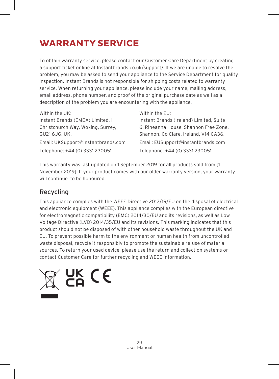# **WARRANTY SERVICE**

To obtain warranty service, please contact our Customer Care Department by creating a support ticket online at Instantbrands.co.uk/support/. If we are unable to resolve the problem, you may be asked to send your appliance to the Service Department for quality inspection. Instant Brands is not responsible for shipping costs related to warranty service. When returning your appliance, please include your name, mailing address, email address, phone number, and proof of the original purchase date as well as a description of the problem you are encountering with the appliance.

| Within the UK:                     |  |
|------------------------------------|--|
| Instant Brands (EMEA) Limited, 1   |  |
| Christchurch Way, Woking, Surrey,  |  |
| GU21 6JG. UK.                      |  |
| Email: UKSupport@instantbrands.com |  |
| Telephone: +44 (0) 3331 230051     |  |
|                                    |  |

#### Within the EU:

Instant Brands (Ireland) Limited, Suite 6, Rineanna House, Shannon Free Zone, Shannon, Co Clare, Ireland, V14 CA36. Email: EUSupport@instantbrands.com Telephone: +44 (0) 3331 230051

This warranty was last updated on 1 September 2019 for all products sold from [1 November 2019]. If your product comes with our older warranty version, your warranty will continue to be honoured.

#### Recycling

This appliance complies with the WEEE Directive 2012/19/EU on the disposal of electrical and electronic equipment (WEEE). This appliance complies with the European directive for electromagnetic compatibility (EMC) 2014/30/EU and its revisions, as well as Low Voltage Directive (LVD) 2014/35/EU and its revisions. This marking indicates that this product should not be disposed of with other household waste throughout the UK and EU. To prevent possible harm to the environment or human health from uncontrolled waste disposal, recycle it responsibly to promote the sustainable re-use of material sources. To return your used device, please use the return and collection systems or contact Customer Care for further recycling and WEEE information.